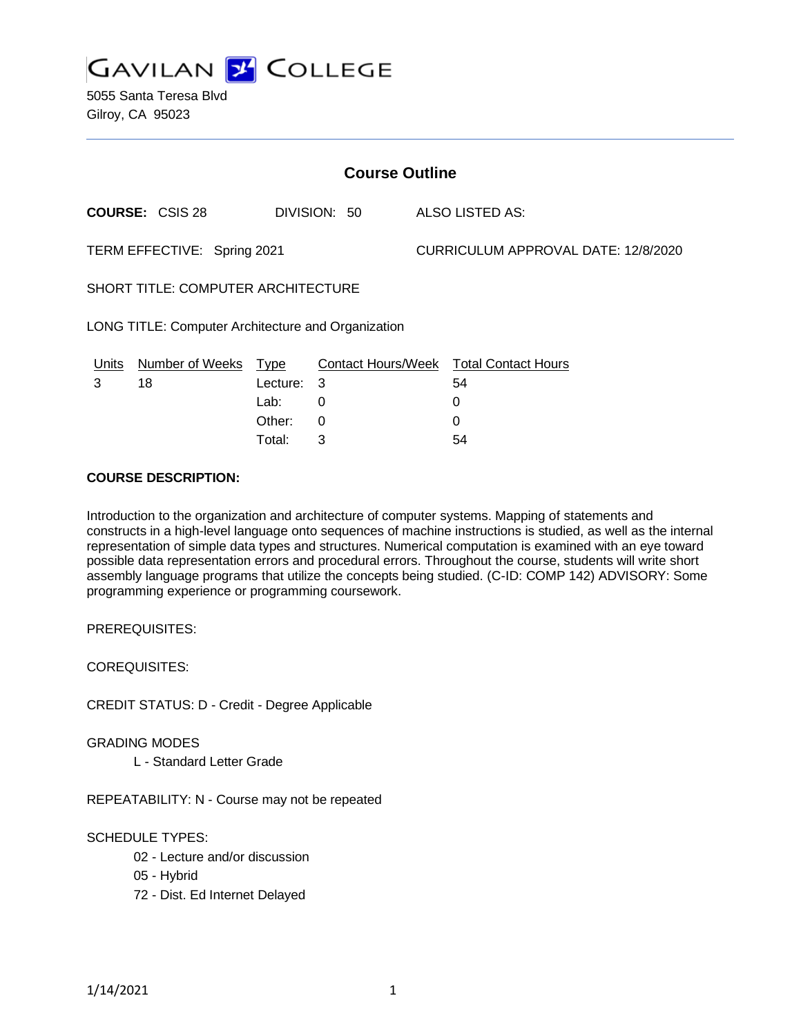

5055 Santa Teresa Blvd Gilroy, CA 95023

| <b>Course Outline</b>                              |                        |          |                           |  |                                     |  |
|----------------------------------------------------|------------------------|----------|---------------------------|--|-------------------------------------|--|
|                                                    | <b>COURSE: CSIS 28</b> |          | DIVISION: 50              |  | <b>ALSO LISTED AS:</b>              |  |
| TERM EFFECTIVE: Spring 2021                        |                        |          |                           |  | CURRICULUM APPROVAL DATE: 12/8/2020 |  |
| SHORT TITLE: COMPUTER ARCHITECTURE                 |                        |          |                           |  |                                     |  |
| LONG TITLE: Computer Architecture and Organization |                        |          |                           |  |                                     |  |
| Units                                              | Number of Weeks Type   |          | <b>Contact Hours/Week</b> |  | <b>Total Contact Hours</b>          |  |
| 3                                                  | 18                     | Lecture: | 3                         |  | 54                                  |  |
|                                                    |                        | Lab:     | 0                         |  | 0                                   |  |
|                                                    |                        | Other:   | 0                         |  | 0                                   |  |

Total: 3 54

### **COURSE DESCRIPTION:**

Introduction to the organization and architecture of computer systems. Mapping of statements and constructs in a high-level language onto sequences of machine instructions is studied, as well as the internal representation of simple data types and structures. Numerical computation is examined with an eye toward possible data representation errors and procedural errors. Throughout the course, students will write short assembly language programs that utilize the concepts being studied. (C-ID: COMP 142) ADVISORY: Some programming experience or programming coursework.

PREREQUISITES:

COREQUISITES:

CREDIT STATUS: D - Credit - Degree Applicable

#### GRADING MODES

L - Standard Letter Grade

REPEATABILITY: N - Course may not be repeated

## SCHEDULE TYPES:

- 02 Lecture and/or discussion
- 05 Hybrid
- 72 Dist. Ed Internet Delayed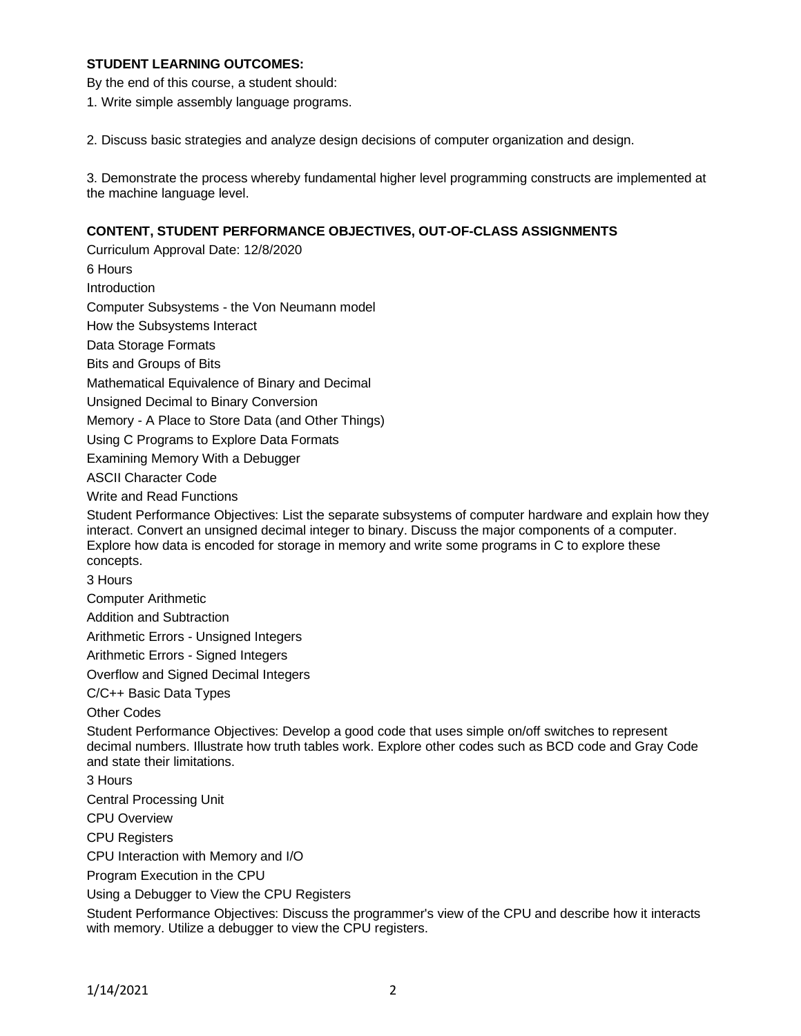## **STUDENT LEARNING OUTCOMES:**

By the end of this course, a student should:

1. Write simple assembly language programs.

2. Discuss basic strategies and analyze design decisions of computer organization and design.

3. Demonstrate the process whereby fundamental higher level programming constructs are implemented at the machine language level.

## **CONTENT, STUDENT PERFORMANCE OBJECTIVES, OUT-OF-CLASS ASSIGNMENTS**

Curriculum Approval Date: 12/8/2020 6 Hours Introduction Computer Subsystems - the Von Neumann model How the Subsystems Interact Data Storage Formats Bits and Groups of Bits Mathematical Equivalence of Binary and Decimal Unsigned Decimal to Binary Conversion Memory - A Place to Store Data (and Other Things) Using C Programs to Explore Data Formats Examining Memory With a Debugger ASCII Character Code Write and Read Functions Student Performance Objectives: List the separate subsystems of computer hardware and explain how they interact. Convert an unsigned decimal integer to binary. Discuss the major components of a computer. Explore how data is encoded for storage in memory and write some programs in C to explore these concepts. 3 Hours Computer Arithmetic Addition and Subtraction Arithmetic Errors - Unsigned Integers Arithmetic Errors - Signed Integers Overflow and Signed Decimal Integers C/C++ Basic Data Types Other Codes Student Performance Objectives: Develop a good code that uses simple on/off switches to represent decimal numbers. Illustrate how truth tables work. Explore other codes such as BCD code and Gray Code and state their limitations. 3 Hours Central Processing Unit CPU Overview CPU Registers CPU Interaction with Memory and I/O Program Execution in the CPU Using a Debugger to View the CPU Registers

Student Performance Objectives: Discuss the programmer's view of the CPU and describe how it interacts with memory. Utilize a debugger to view the CPU registers.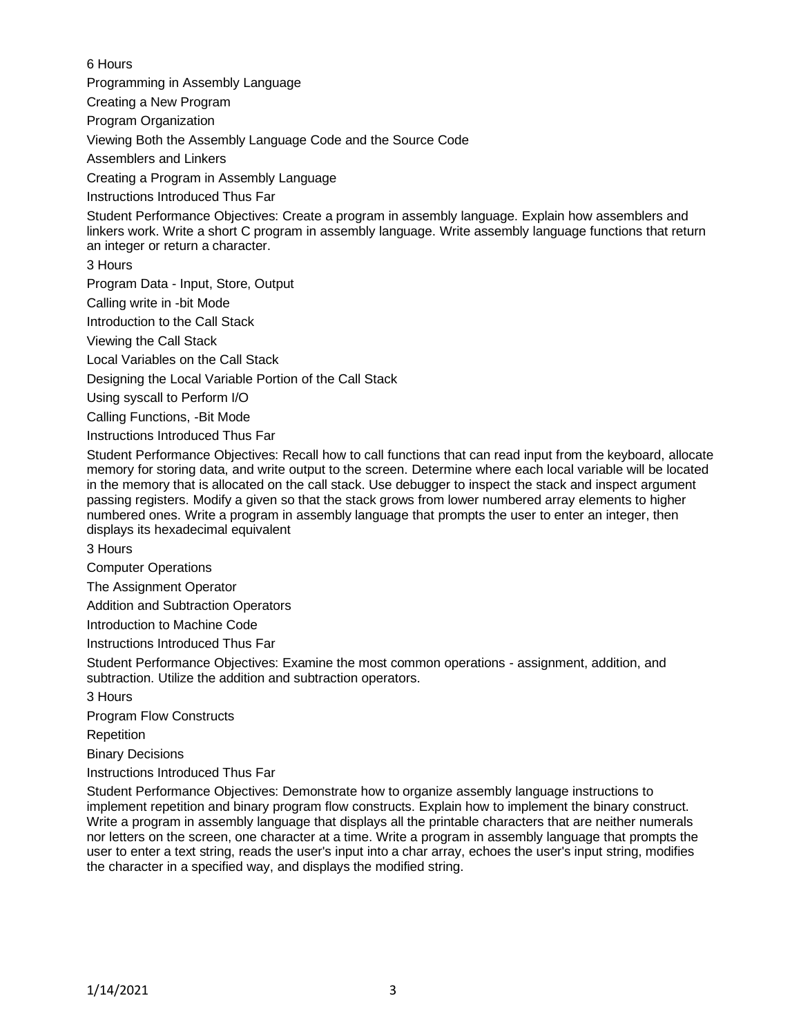6 Hours

Programming in Assembly Language

Creating a New Program

Program Organization

Viewing Both the Assembly Language Code and the Source Code

Assemblers and Linkers

Creating a Program in Assembly Language

Instructions Introduced Thus Far

Student Performance Objectives: Create a program in assembly language. Explain how assemblers and linkers work. Write a short C program in assembly language. Write assembly language functions that return an integer or return a character.

3 Hours

Program Data - Input, Store, Output

Calling write in -bit Mode

Introduction to the Call Stack

Viewing the Call Stack

Local Variables on the Call Stack

Designing the Local Variable Portion of the Call Stack

Using syscall to Perform I/O

Calling Functions, -Bit Mode

Instructions Introduced Thus Far

Student Performance Objectives: Recall how to call functions that can read input from the keyboard, allocate memory for storing data, and write output to the screen. Determine where each local variable will be located in the memory that is allocated on the call stack. Use debugger to inspect the stack and inspect argument passing registers. Modify a given so that the stack grows from lower numbered array elements to higher numbered ones. Write a program in assembly language that prompts the user to enter an integer, then displays its hexadecimal equivalent

3 Hours

Computer Operations

The Assignment Operator

Addition and Subtraction Operators

Introduction to Machine Code

Instructions Introduced Thus Far

Student Performance Objectives: Examine the most common operations - assignment, addition, and subtraction. Utilize the addition and subtraction operators.

3 Hours

Program Flow Constructs

Repetition

Binary Decisions

Instructions Introduced Thus Far

Student Performance Objectives: Demonstrate how to organize assembly language instructions to implement repetition and binary program flow constructs. Explain how to implement the binary construct. Write a program in assembly language that displays all the printable characters that are neither numerals nor letters on the screen, one character at a time. Write a program in assembly language that prompts the user to enter a text string, reads the user's input into a char array, echoes the user's input string, modifies the character in a specified way, and displays the modified string.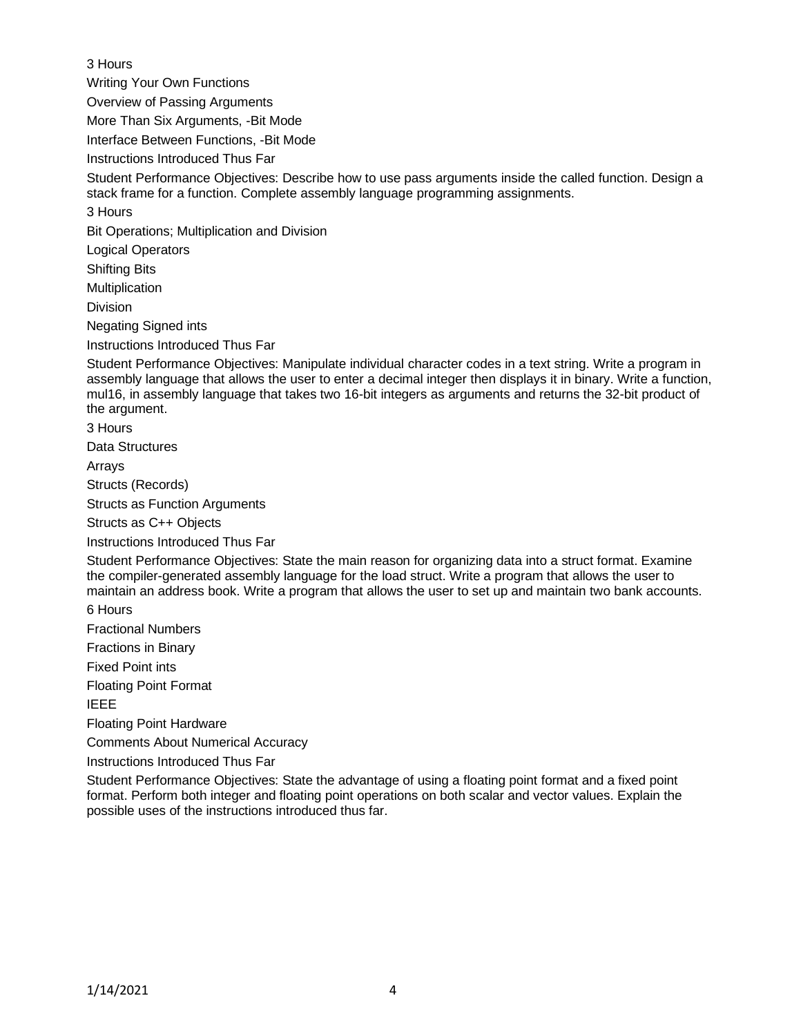3 Hours

Writing Your Own Functions

Overview of Passing Arguments

More Than Six Arguments, -Bit Mode

Interface Between Functions, -Bit Mode

Instructions Introduced Thus Far

Student Performance Objectives: Describe how to use pass arguments inside the called function. Design a stack frame for a function. Complete assembly language programming assignments.

3 Hours

Bit Operations; Multiplication and Division

Logical Operators

Shifting Bits

Multiplication

Division

Negating Signed ints

Instructions Introduced Thus Far

Student Performance Objectives: Manipulate individual character codes in a text string. Write a program in assembly language that allows the user to enter a decimal integer then displays it in binary. Write a function, mul16, in assembly language that takes two 16-bit integers as arguments and returns the 32-bit product of the argument.

3 Hours

Data Structures

Arrays

Structs (Records)

Structs as Function Arguments

Structs as C++ Objects

Instructions Introduced Thus Far

Student Performance Objectives: State the main reason for organizing data into a struct format. Examine the compiler-generated assembly language for the load struct. Write a program that allows the user to maintain an address book. Write a program that allows the user to set up and maintain two bank accounts. 6 Hours

Fractional Numbers

Fractions in Binary

Fixed Point ints

Floating Point Format

IEEE

Floating Point Hardware

Comments About Numerical Accuracy

Instructions Introduced Thus Far

Student Performance Objectives: State the advantage of using a floating point format and a fixed point format. Perform both integer and floating point operations on both scalar and vector values. Explain the possible uses of the instructions introduced thus far.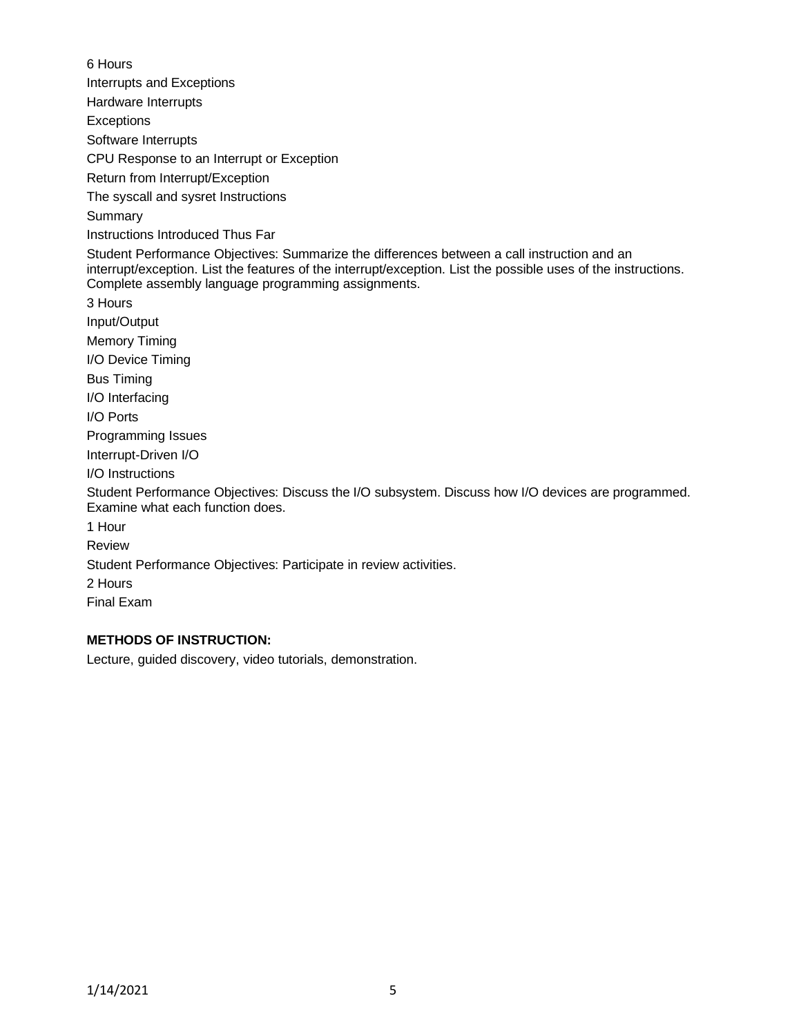6 Hours Interrupts and Exceptions Hardware Interrupts **Exceptions** Software Interrupts CPU Response to an Interrupt or Exception Return from Interrupt/Exception The syscall and sysret Instructions Summary Instructions Introduced Thus Far Student Performance Objectives: Summarize the differences between a call instruction and an interrupt/exception. List the features of the interrupt/exception. List the possible uses of the instructions. Complete assembly language programming assignments. 3 Hours Input/Output Memory Timing I/O Device Timing Bus Timing I/O Interfacing I/O Ports Programming Issues Interrupt-Driven I/O I/O Instructions Student Performance Objectives: Discuss the I/O subsystem. Discuss how I/O devices are programmed. Examine what each function does. 1 Hour Review Student Performance Objectives: Participate in review activities. 2 Hours Final Exam

# **METHODS OF INSTRUCTION:**

Lecture, guided discovery, video tutorials, demonstration.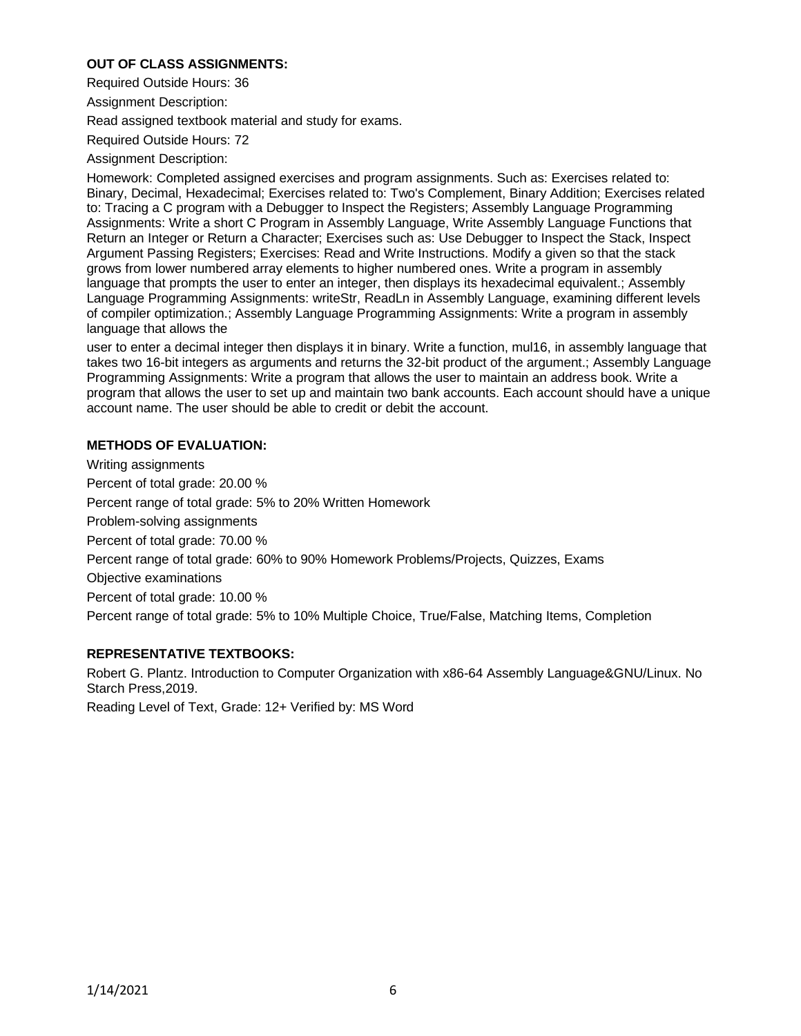## **OUT OF CLASS ASSIGNMENTS:**

Required Outside Hours: 36

Assignment Description:

Read assigned textbook material and study for exams.

Required Outside Hours: 72

Assignment Description:

Homework: Completed assigned exercises and program assignments. Such as: Exercises related to: Binary, Decimal, Hexadecimal; Exercises related to: Two's Complement, Binary Addition; Exercises related to: Tracing a C program with a Debugger to Inspect the Registers; Assembly Language Programming Assignments: Write a short C Program in Assembly Language, Write Assembly Language Functions that Return an Integer or Return a Character; Exercises such as: Use Debugger to Inspect the Stack, Inspect Argument Passing Registers; Exercises: Read and Write Instructions. Modify a given so that the stack grows from lower numbered array elements to higher numbered ones. Write a program in assembly language that prompts the user to enter an integer, then displays its hexadecimal equivalent.; Assembly Language Programming Assignments: writeStr, ReadLn in Assembly Language, examining different levels of compiler optimization.; Assembly Language Programming Assignments: Write a program in assembly language that allows the

user to enter a decimal integer then displays it in binary. Write a function, mul16, in assembly language that takes two 16-bit integers as arguments and returns the 32-bit product of the argument.; Assembly Language Programming Assignments: Write a program that allows the user to maintain an address book. Write a program that allows the user to set up and maintain two bank accounts. Each account should have a unique account name. The user should be able to credit or debit the account.

## **METHODS OF EVALUATION:**

Writing assignments Percent of total grade: 20.00 % Percent range of total grade: 5% to 20% Written Homework Problem-solving assignments Percent of total grade: 70.00 % Percent range of total grade: 60% to 90% Homework Problems/Projects, Quizzes, Exams Objective examinations Percent of total grade: 10.00 % Percent range of total grade: 5% to 10% Multiple Choice, True/False, Matching Items, Completion

## **REPRESENTATIVE TEXTBOOKS:**

Robert G. Plantz. Introduction to Computer Organization with x86-64 Assembly Language&GNU/Linux. No Starch Press,2019.

Reading Level of Text, Grade: 12+ Verified by: MS Word